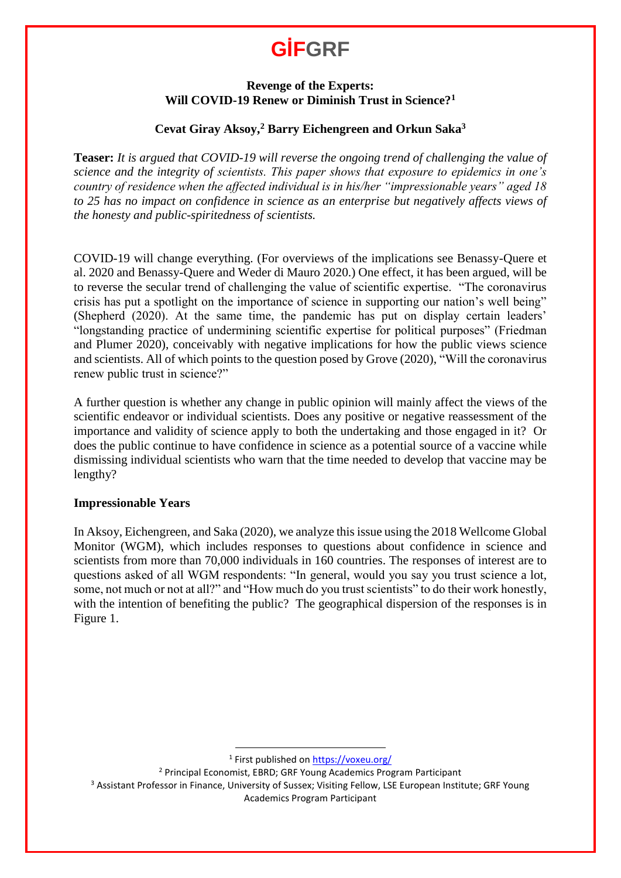#### **Revenge of the Experts: Will COVID-19 Renew or Diminish Trust in Science?<sup>1</sup>**

#### **Cevat Giray Aksoy, <sup>2</sup> Barry Eichengreen and Orkun Saka<sup>3</sup>**

**Teaser:** *It is argued that COVID-19 will reverse the ongoing trend of challenging the value of science and the integrity of scientists. This paper shows that exposure to epidemics in one's country of residence when the affected individual is in his/her "impressionable years" aged 18 to 25 has no impact on confidence in science as an enterprise but negatively affects views of the honesty and public-spiritedness of scientists.*

COVID-19 will change everything. (For overviews of the implications see Benassy-Quere et al. 2020 and Benassy-Quere and Weder di Mauro 2020.) One effect, it has been argued, will be to reverse the secular trend of challenging the value of scientific expertise. "The coronavirus crisis has put a spotlight on the importance of science in supporting our nation's well being" (Shepherd (2020). At the same time, the pandemic has put on display certain leaders' "longstanding practice of undermining scientific expertise for political purposes" (Friedman and Plumer 2020), conceivably with negative implications for how the public views science and scientists. All of which points to the question posed by Grove (2020), "Will the coronavirus renew public trust in science?"

A further question is whether any change in public opinion will mainly affect the views of the scientific endeavor or individual scientists. Does any positive or negative reassessment of the importance and validity of science apply to both the undertaking and those engaged in it? Or does the public continue to have confidence in science as a potential source of a vaccine while dismissing individual scientists who warn that the time needed to develop that vaccine may be lengthy?

#### **Impressionable Years**

In Aksoy, Eichengreen, and Saka (2020), we analyze this issue using the 2018 Wellcome Global Monitor (WGM), which includes responses to questions about confidence in science and scientists from more than 70,000 individuals in 160 countries. The responses of interest are to questions asked of all WGM respondents: "In general, would you say you trust science a lot, some, not much or not at all?" and "How much do you trust scientists" to do their work honestly, with the intention of benefiting the public? The geographical dispersion of the responses is in Figure 1.

<sup>1</sup> First published on **<https://voxeu.org/>** 

<sup>2</sup> Principal Economist, EBRD; GRF Young Academics Program Participant

 $\overline{a}$ 

<sup>3</sup> Assistant Professor in Finance, University of Sussex; Visiting Fellow, LSE European Institute; GRF Young Academics Program Participant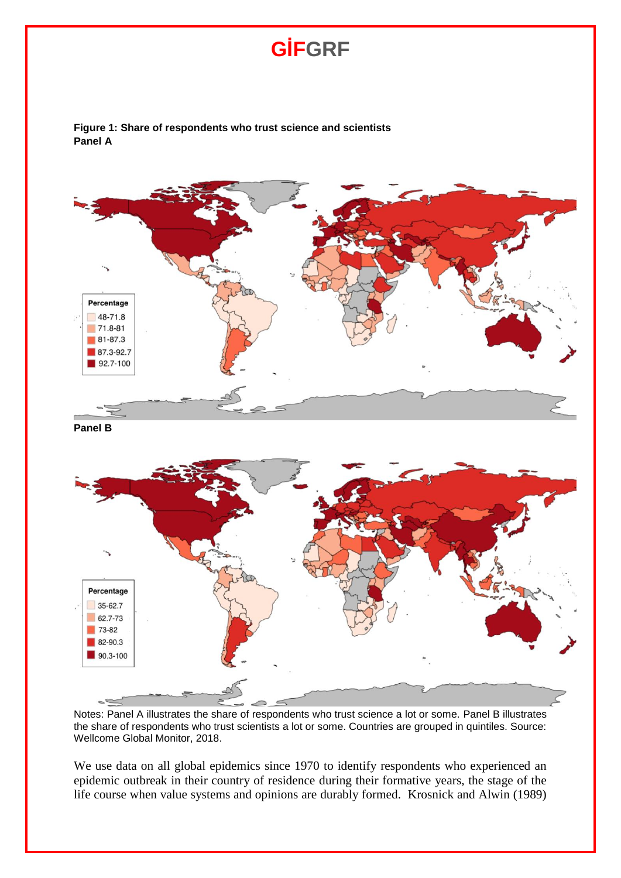**Figure 1: Share of respondents who trust science and scientists Panel A**



Notes: Panel A illustrates the share of respondents who trust science a lot or some. Panel B illustrates the share of respondents who trust scientists a lot or some. Countries are grouped in quintiles. Source: Wellcome Global Monitor, 2018.

We use data on all global epidemics since 1970 to identify respondents who experienced an epidemic outbreak in their country of residence during their formative years, the stage of the life course when value systems and opinions are durably formed. Krosnick and Alwin (1989)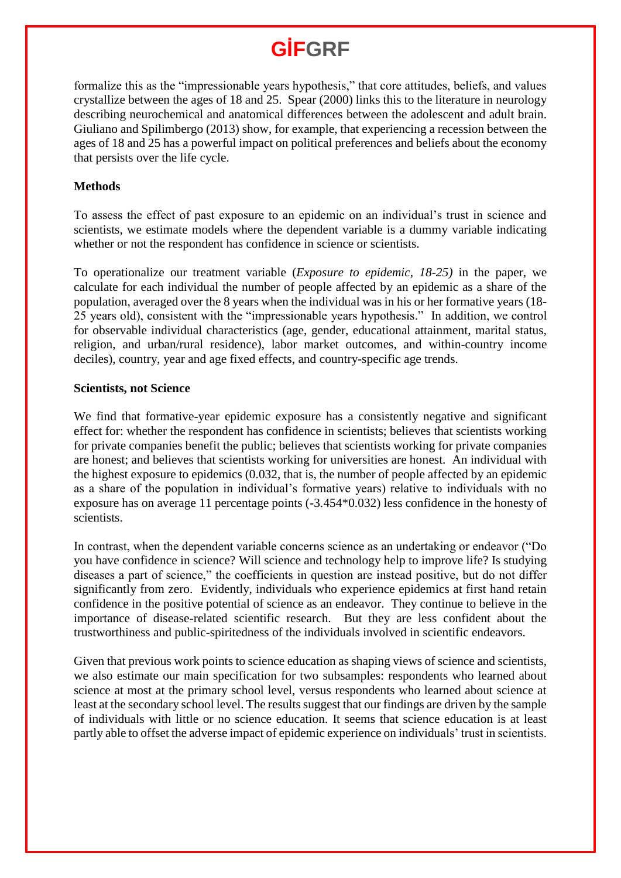formalize this as the "impressionable years hypothesis," that core attitudes, beliefs, and values crystallize between the ages of 18 and 25. Spear (2000) links this to the literature in neurology describing neurochemical and anatomical differences between the adolescent and adult brain. Giuliano and Spilimbergo (2013) show, for example, that experiencing a recession between the ages of 18 and 25 has a powerful impact on political preferences and beliefs about the economy that persists over the life cycle.

#### **Methods**

To assess the effect of past exposure to an epidemic on an individual's trust in science and scientists, we estimate models where the dependent variable is a dummy variable indicating whether or not the respondent has confidence in science or scientists.

To operationalize our treatment variable (*Exposure to epidemic, 18-25)* in the paper, we calculate for each individual the number of people affected by an epidemic as a share of the population, averaged over the 8 years when the individual was in his or her formative years (18- 25 years old), consistent with the "impressionable years hypothesis." In addition, we control for observable individual characteristics (age, gender, educational attainment, marital status, religion, and urban/rural residence), labor market outcomes, and within-country income deciles), country, year and age fixed effects, and country-specific age trends.

#### **Scientists, not Science**

We find that formative-year epidemic exposure has a consistently negative and significant effect for: whether the respondent has confidence in scientists; believes that scientists working for private companies benefit the public; believes that scientists working for private companies are honest; and believes that scientists working for universities are honest. An individual with the highest exposure to epidemics (0.032, that is, the number of people affected by an epidemic as a share of the population in individual's formative years) relative to individuals with no exposure has on average 11 percentage points (-3.454\*0.032) less confidence in the honesty of scientists.

In contrast, when the dependent variable concerns science as an undertaking or endeavor ("Do you have confidence in science? Will science and technology help to improve life? Is studying diseases a part of science," the coefficients in question are instead positive, but do not differ significantly from zero. Evidently, individuals who experience epidemics at first hand retain confidence in the positive potential of science as an endeavor. They continue to believe in the importance of disease-related scientific research. But they are less confident about the trustworthiness and public-spiritedness of the individuals involved in scientific endeavors.

Given that previous work points to science education as shaping views of science and scientists, we also estimate our main specification for two subsamples: respondents who learned about science at most at the primary school level, versus respondents who learned about science at least at the secondary school level. The results suggest that our findings are driven by the sample of individuals with little or no science education. It seems that science education is at least partly able to offset the adverse impact of epidemic experience on individuals' trust in scientists.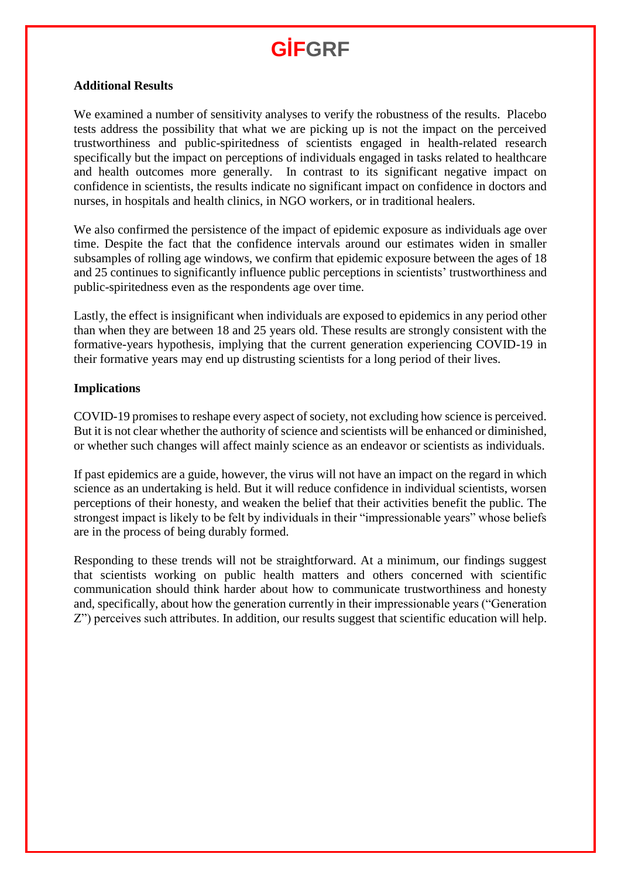#### **Additional Results**

We examined a number of sensitivity analyses to verify the robustness of the results. Placebo tests address the possibility that what we are picking up is not the impact on the perceived trustworthiness and public-spiritedness of scientists engaged in health-related research specifically but the impact on perceptions of individuals engaged in tasks related to healthcare and health outcomes more generally. In contrast to its significant negative impact on confidence in scientists, the results indicate no significant impact on confidence in doctors and nurses, in hospitals and health clinics, in NGO workers, or in traditional healers.

We also confirmed the persistence of the impact of epidemic exposure as individuals age over time. Despite the fact that the confidence intervals around our estimates widen in smaller subsamples of rolling age windows, we confirm that epidemic exposure between the ages of 18 and 25 continues to significantly influence public perceptions in scientists' trustworthiness and public-spiritedness even as the respondents age over time.

Lastly, the effect is insignificant when individuals are exposed to epidemics in any period other than when they are between 18 and 25 years old. These results are strongly consistent with the formative-years hypothesis, implying that the current generation experiencing COVID-19 in their formative years may end up distrusting scientists for a long period of their lives.

#### **Implications**

COVID-19 promises to reshape every aspect of society, not excluding how science is perceived. But it is not clear whether the authority of science and scientists will be enhanced or diminished, or whether such changes will affect mainly science as an endeavor or scientists as individuals.

If past epidemics are a guide, however, the virus will not have an impact on the regard in which science as an undertaking is held. But it will reduce confidence in individual scientists, worsen perceptions of their honesty, and weaken the belief that their activities benefit the public. The strongest impact is likely to be felt by individuals in their "impressionable years" whose beliefs are in the process of being durably formed.

Responding to these trends will not be straightforward. At a minimum, our findings suggest that scientists working on public health matters and others concerned with scientific communication should think harder about how to communicate trustworthiness and honesty and, specifically, about how the generation currently in their impressionable years ("Generation Z") perceives such attributes. In addition, our results suggest that scientific education will help.